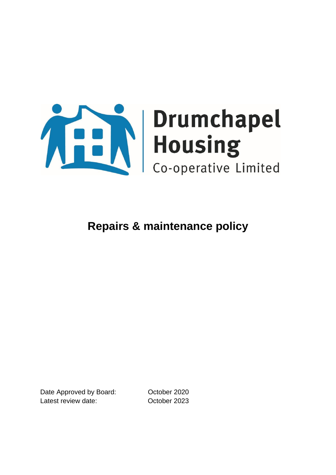

Date Approved by Board: October 2020 Latest review date: October 2023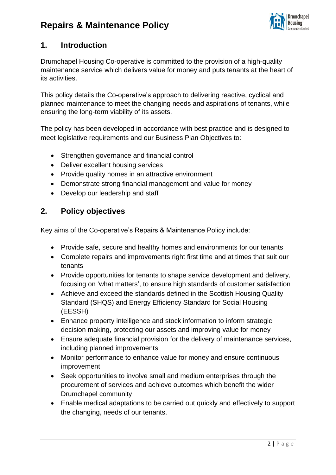

### **1. Introduction**

Drumchapel Housing Co-operative is committed to the provision of a high-quality maintenance service which delivers value for money and puts tenants at the heart of its activities.

This policy details the Co-operative's approach to delivering reactive, cyclical and planned maintenance to meet the changing needs and aspirations of tenants, while ensuring the long-term viability of its assets.

The policy has been developed in accordance with best practice and is designed to meet legislative requirements and our Business Plan Objectives to:

- Strengthen governance and financial control
- Deliver excellent housing services
- Provide quality homes in an attractive environment
- Demonstrate strong financial management and value for money
- Develop our leadership and staff

### **2. Policy objectives**

Key aims of the Co-operative's Repairs & Maintenance Policy include:

- Provide safe, secure and healthy homes and environments for our tenants
- Complete repairs and improvements right first time and at times that suit our tenants
- Provide opportunities for tenants to shape service development and delivery, focusing on 'what matters', to ensure high standards of customer satisfaction
- Achieve and exceed the standards defined in the Scottish Housing Quality Standard (SHQS) and Energy Efficiency Standard for Social Housing (EESSH)
- Enhance property intelligence and stock information to inform strategic decision making, protecting our assets and improving value for money
- Ensure adequate financial provision for the delivery of maintenance services, including planned improvements
- Monitor performance to enhance value for money and ensure continuous improvement
- Seek opportunities to involve small and medium enterprises through the procurement of services and achieve outcomes which benefit the wider Drumchapel community
- Enable medical adaptations to be carried out quickly and effectively to support the changing, needs of our tenants.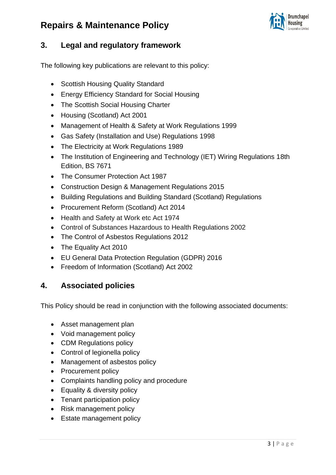

### **3. Legal and regulatory framework**

The following key publications are relevant to this policy:

- Scottish Housing Quality Standard
- Energy Efficiency Standard for Social Housing
- The Scottish Social Housing Charter
- Housing (Scotland) Act 2001
- Management of Health & Safety at Work Regulations 1999
- Gas Safety (Installation and Use) Regulations 1998
- The Electricity at Work Regulations 1989
- The Institution of Engineering and Technology (IET) Wiring Regulations 18th Edition, BS 7671
- The Consumer Protection Act 1987
- Construction Design & Management Regulations 2015
- Building Regulations and Building Standard (Scotland) Regulations
- Procurement Reform (Scotland) Act 2014
- Health and Safety at Work etc Act 1974
- Control of Substances Hazardous to Health Regulations 2002
- The Control of Asbestos Regulations 2012
- The Equality Act 2010
- EU General Data Protection Regulation (GDPR) 2016
- Freedom of Information (Scotland) Act 2002

### **4. Associated policies**

This Policy should be read in conjunction with the following associated documents:

- Asset management plan
- Void management policy
- CDM Regulations policy
- Control of legionella policy
- Management of asbestos policy
- Procurement policy
- Complaints handling policy and procedure
- Equality & diversity policy
- Tenant participation policy
- Risk management policy
- Estate management policy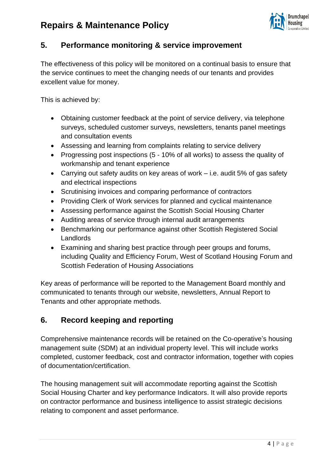

### **5. Performance monitoring & service improvement**

The effectiveness of this policy will be monitored on a continual basis to ensure that the service continues to meet the changing needs of our tenants and provides excellent value for money.

This is achieved by:

- Obtaining customer feedback at the point of service delivery, via telephone surveys, scheduled customer surveys, newsletters, tenants panel meetings and consultation events
- Assessing and learning from complaints relating to service delivery
- Progressing post inspections (5 10% of all works) to assess the quality of workmanship and tenant experience
- Carrying out safety audits on key areas of work i.e. audit 5% of gas safety and electrical inspections
- Scrutinising invoices and comparing performance of contractors
- Providing Clerk of Work services for planned and cyclical maintenance
- Assessing performance against the Scottish Social Housing Charter
- Auditing areas of service through internal audit arrangements
- Benchmarking our performance against other Scottish Registered Social Landlords
- Examining and sharing best practice through peer groups and forums, including Quality and Efficiency Forum, West of Scotland Housing Forum and Scottish Federation of Housing Associations

Key areas of performance will be reported to the Management Board monthly and communicated to tenants through our website, newsletters, Annual Report to Tenants and other appropriate methods.

### **6. Record keeping and reporting**

Comprehensive maintenance records will be retained on the Co-operative's housing management suite (SDM) at an individual property level. This will include works completed, customer feedback, cost and contractor information, together with copies of documentation/certification.

The housing management suit will accommodate reporting against the Scottish Social Housing Charter and key performance Indicators. It will also provide reports on contractor performance and business intelligence to assist strategic decisions relating to component and asset performance.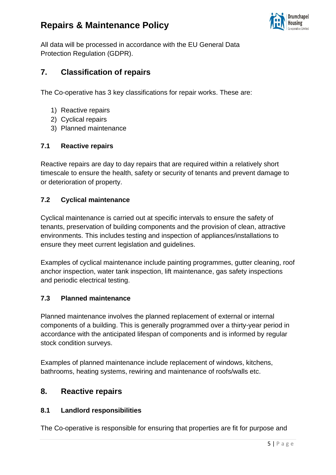

All data will be processed in accordance with the EU General Data Protection Regulation (GDPR).

### **7. Classification of repairs**

The Co-operative has 3 key classifications for repair works. These are:

- 1) Reactive repairs
- 2) Cyclical repairs
- 3) Planned maintenance

#### **7.1 Reactive repairs**

Reactive repairs are day to day repairs that are required within a relatively short timescale to ensure the health, safety or security of tenants and prevent damage to or deterioration of property.

### **7.2 Cyclical maintenance**

Cyclical maintenance is carried out at specific intervals to ensure the safety of tenants, preservation of building components and the provision of clean, attractive environments. This includes testing and inspection of appliances/installations to ensure they meet current legislation and guidelines.

Examples of cyclical maintenance include painting programmes, gutter cleaning, roof anchor inspection, water tank inspection, lift maintenance, gas safety inspections and periodic electrical testing.

#### **7.3 Planned maintenance**

Planned maintenance involves the planned replacement of external or internal components of a building. This is generally programmed over a thirty-year period in accordance with the anticipated lifespan of components and is informed by regular stock condition surveys.

Examples of planned maintenance include replacement of windows, kitchens, bathrooms, heating systems, rewiring and maintenance of roofs/walls etc.

### **8. Reactive repairs**

#### **8.1 Landlord responsibilities**

The Co-operative is responsible for ensuring that properties are fit for purpose and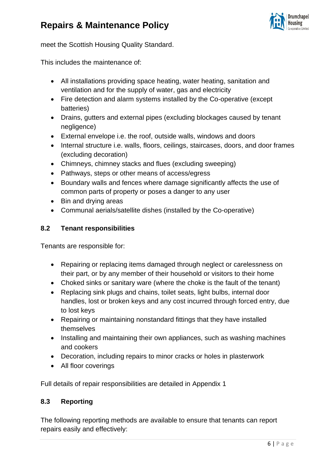

meet the Scottish Housing Quality Standard.

This includes the maintenance of:

- All installations providing space heating, water heating, sanitation and ventilation and for the supply of water, gas and electricity
- Fire detection and alarm systems installed by the Co-operative (except batteries)
- Drains, gutters and external pipes (excluding blockages caused by tenant negligence)
- External envelope i.e. the roof, outside walls, windows and doors
- Internal structure i.e. walls, floors, ceilings, staircases, doors, and door frames (excluding decoration)
- Chimneys, chimney stacks and flues (excluding sweeping)
- Pathways, steps or other means of access/egress
- Boundary walls and fences where damage significantly affects the use of common parts of property or poses a danger to any user
- Bin and drying areas
- Communal aerials/satellite dishes (installed by the Co-operative)

#### **8.2 Tenant responsibilities**

Tenants are responsible for:

- Repairing or replacing items damaged through neglect or carelessness on their part, or by any member of their household or visitors to their home
- Choked sinks or sanitary ware (where the choke is the fault of the tenant)
- Replacing sink plugs and chains, toilet seats, light bulbs, internal door handles, lost or broken keys and any cost incurred through forced entry, due to lost keys
- Repairing or maintaining nonstandard fittings that they have installed themselves
- Installing and maintaining their own appliances, such as washing machines and cookers
- Decoration, including repairs to minor cracks or holes in plasterwork
- All floor coverings

Full details of repair responsibilities are detailed in Appendix 1

#### **8.3 Reporting**

The following reporting methods are available to ensure that tenants can report repairs easily and effectively: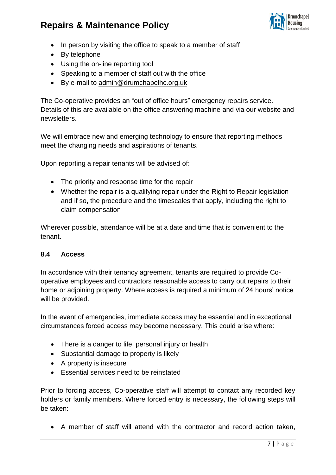

- In person by visiting the office to speak to a member of staff
- By telephone
- Using the on-line reporting tool
- Speaking to a member of staff out with the office
- By e-mail to [admin@drumchapelhc.org.uk](mailto:admin@drumchapelhc.org.uk)

The Co-operative provides an "out of office hours" emergency repairs service. Details of this are available on the office answering machine and via our website and newsletters.

We will embrace new and emerging technology to ensure that reporting methods meet the changing needs and aspirations of tenants.

Upon reporting a repair tenants will be advised of:

- The priority and response time for the repair
- Whether the repair is a qualifying repair under the Right to Repair legislation and if so, the procedure and the timescales that apply, including the right to claim compensation

Wherever possible, attendance will be at a date and time that is convenient to the tenant.

#### **8.4 Access**

In accordance with their tenancy agreement, tenants are required to provide Cooperative employees and contractors reasonable access to carry out repairs to their home or adjoining property. Where access is required a minimum of 24 hours' notice will be provided.

In the event of emergencies, immediate access may be essential and in exceptional circumstances forced access may become necessary. This could arise where:

- There is a danger to life, personal injury or health
- Substantial damage to property is likely
- A property is insecure
- Essential services need to be reinstated

Prior to forcing access, Co-operative staff will attempt to contact any recorded key holders or family members. Where forced entry is necessary, the following steps will be taken:

• A member of staff will attend with the contractor and record action taken,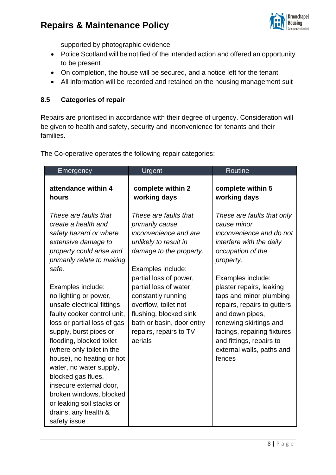

supported by photographic evidence

- Police Scotland will be notified of the intended action and offered an opportunity to be present
- On completion, the house will be secured, and a notice left for the tenant
- All information will be recorded and retained on the housing management suit

### **8.5 Categories of repair**

Repairs are prioritised in accordance with their degree of urgency. Consideration will be given to health and safety, security and inconvenience for tenants and their families.

|                                                                                                                                                                                                                                                                                                                                                                                                                                                                                                                                                                                                         |                                                                                                                                                                                                                                                                                                                                           | <b>Routine</b>                                                                                                                                                                                                                                                                                                                                                                                |
|---------------------------------------------------------------------------------------------------------------------------------------------------------------------------------------------------------------------------------------------------------------------------------------------------------------------------------------------------------------------------------------------------------------------------------------------------------------------------------------------------------------------------------------------------------------------------------------------------------|-------------------------------------------------------------------------------------------------------------------------------------------------------------------------------------------------------------------------------------------------------------------------------------------------------------------------------------------|-----------------------------------------------------------------------------------------------------------------------------------------------------------------------------------------------------------------------------------------------------------------------------------------------------------------------------------------------------------------------------------------------|
| attendance within 4<br>hours                                                                                                                                                                                                                                                                                                                                                                                                                                                                                                                                                                            | complete within 2<br>working days                                                                                                                                                                                                                                                                                                         | complete within 5<br>working days                                                                                                                                                                                                                                                                                                                                                             |
| These are faults that<br>create a health and<br>safety hazard or where<br>extensive damage to<br>property could arise and<br>primarily relate to making<br>safe.<br>Examples include:<br>no lighting or power,<br>unsafe electrical fittings,<br>faulty cooker control unit,<br>loss or partial loss of gas<br>supply, burst pipes or<br>flooding, blocked toilet<br>(where only toilet in the<br>house), no heating or hot<br>water, no water supply,<br>blocked gas flues,<br>insecure external door,<br>broken windows, blocked<br>or leaking soil stacks or<br>drains, any health &<br>safety issue | These are faults that<br>primarily cause<br>inconvenience and are<br>unlikely to result in<br>damage to the property.<br>Examples include:<br>partial loss of power,<br>partial loss of water,<br>constantly running<br>overflow, toilet not<br>flushing, blocked sink,<br>bath or basin, door entry<br>repairs, repairs to TV<br>aerials | These are faults that only<br>cause minor<br>inconvenience and do not<br>interfere with the daily<br>occupation of the<br>property.<br>Examples include:<br>plaster repairs, leaking<br>taps and minor plumbing<br>repairs, repairs to gutters<br>and down pipes,<br>renewing skirtings and<br>facings, repairing fixtures<br>and fittings, repairs to<br>external walls, paths and<br>fences |

The Co-operative operates the following repair categories: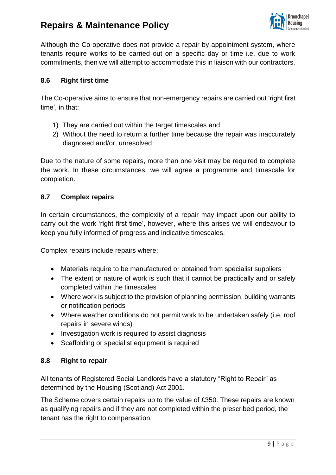

Although the Co-operative does not provide a repair by appointment system, where tenants require works to be carried out on a specific day or time i.e. due to work commitments, then we will attempt to accommodate this in liaison with our contractors.

### **8.6 Right first time**

The Co-operative aims to ensure that non-emergency repairs are carried out 'right first time', in that:

- 1) They are carried out within the target timescales and
- 2) Without the need to return a further time because the repair was inaccurately diagnosed and/or, unresolved

Due to the nature of some repairs, more than one visit may be required to complete the work. In these circumstances, we will agree a programme and timescale for completion.

#### **8.7 Complex repairs**

In certain circumstances, the complexity of a repair may impact upon our ability to carry out the work 'right first time', however, where this arises we will endeavour to keep you fully informed of progress and indicative timescales.

Complex repairs include repairs where:

- Materials require to be manufactured or obtained from specialist suppliers
- The extent or nature of work is such that it cannot be practically and or safely completed within the timescales
- Where work is subject to the provision of planning permission, building warrants or notification periods
- Where weather conditions do not permit work to be undertaken safely (i.e. roof repairs in severe winds)
- Investigation work is required to assist diagnosis
- Scaffolding or specialist equipment is required

#### **8.8 Right to repair**

All tenants of Registered Social Landlords have a statutory "Right to Repair" as determined by the Housing (Scotland) Act 2001.

The Scheme covers certain repairs up to the value of £350. These repairs are known as qualifying repairs and if they are not completed within the prescribed period, the tenant has the right to compensation.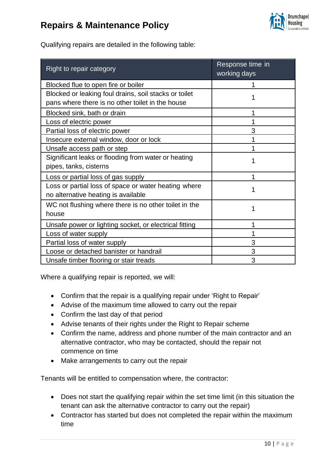

Qualifying repairs are detailed in the following table:

| Right to repair category                               | Response time in<br>working days |
|--------------------------------------------------------|----------------------------------|
| Blocked flue to open fire or boiler                    |                                  |
| Blocked or leaking foul drains, soil stacks or toilet  |                                  |
| pans where there is no other toilet in the house       |                                  |
| Blocked sink, bath or drain                            |                                  |
| Loss of electric power                                 |                                  |
| Partial loss of electric power                         | 3                                |
| Insecure external window, door or lock                 |                                  |
| Unsafe access path or step                             |                                  |
| Significant leaks or flooding from water or heating    |                                  |
| pipes, tanks, cisterns                                 |                                  |
| Loss or partial loss of gas supply                     |                                  |
| Loss or partial loss of space or water heating where   |                                  |
| no alternative heating is available                    |                                  |
| WC not flushing where there is no other toilet in the  |                                  |
| house                                                  |                                  |
| Unsafe power or lighting socket, or electrical fitting |                                  |
| Loss of water supply                                   |                                  |
| Partial loss of water supply                           | 3                                |
| Loose or detached banister or handrail                 | 3                                |
| Unsafe timber flooring or stair treads                 | 3                                |

Where a qualifying repair is reported, we will:

- Confirm that the repair is a qualifying repair under 'Right to Repair'
- Advise of the maximum time allowed to carry out the repair
- Confirm the last day of that period
- Advise tenants of their rights under the Right to Repair scheme
- Confirm the name, address and phone number of the main contractor and an alternative contractor, who may be contacted, should the repair not commence on time
- Make arrangements to carry out the repair

Tenants will be entitled to compensation where, the contractor:

- Does not start the qualifying repair within the set time limit (in this situation the tenant can ask the alternative contractor to carry out the repair)
- Contractor has started but does not completed the repair within the maximum time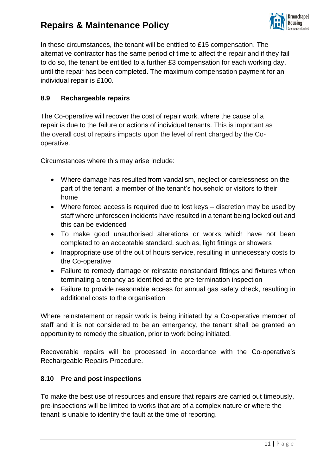

In these circumstances, the tenant will be entitled to £15 compensation. The alternative contractor has the same period of time to affect the repair and if they fail to do so, the tenant be entitled to a further £3 compensation for each working day, until the repair has been completed. The maximum compensation payment for an individual repair is £100.

### **8.9 Rechargeable repairs**

The Co-operative will recover the cost of repair work, where the cause of a repair is due to the failure or actions of individual tenants. This is important as the overall cost of repairs impacts upon the level of rent charged by the Cooperative.

Circumstances where this may arise include:

- Where damage has resulted from vandalism, neglect or carelessness on the part of the tenant, a member of the tenant's household or visitors to their home
- Where forced access is required due to lost keys discretion may be used by staff where unforeseen incidents have resulted in a tenant being locked out and this can be evidenced
- To make good unauthorised alterations or works which have not been completed to an acceptable standard, such as, light fittings or showers
- Inappropriate use of the out of hours service, resulting in unnecessary costs to the Co-operative
- Failure to remedy damage or reinstate nonstandard fittings and fixtures when terminating a tenancy as identified at the pre-termination inspection
- Failure to provide reasonable access for annual gas safety check, resulting in additional costs to the organisation

Where reinstatement or repair work is being initiated by a Co-operative member of staff and it is not considered to be an emergency, the tenant shall be granted an opportunity to remedy the situation, prior to work being initiated.

Recoverable repairs will be processed in accordance with the Co-operative's Rechargeable Repairs Procedure.

#### **8.10 Pre and post inspections**

To make the best use of resources and ensure that repairs are carried out timeously, pre-inspections will be limited to works that are of a complex nature or where the tenant is unable to identify the fault at the time of reporting.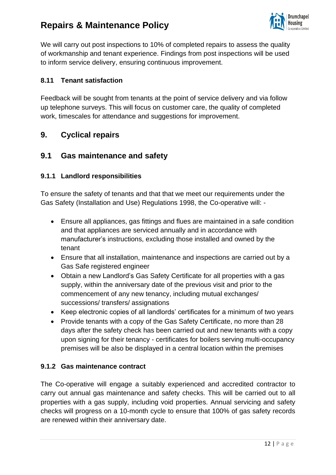

We will carry out post inspections to 10% of completed repairs to assess the quality of workmanship and tenant experience. Findings from post inspections will be used to inform service delivery, ensuring continuous improvement.

### **8.11 Tenant satisfaction**

Feedback will be sought from tenants at the point of service delivery and via follow up telephone surveys. This will focus on customer care, the quality of completed work, timescales for attendance and suggestions for improvement.

### **9. Cyclical repairs**

### **9.1 Gas maintenance and safety**

#### **9.1.1 Landlord responsibilities**

To ensure the safety of tenants and that that we meet our requirements under the Gas Safety (Installation and Use) Regulations 1998, the Co-operative will: -

- Ensure all appliances, gas fittings and flues are maintained in a safe condition and that appliances are serviced annually and in accordance with manufacturer's instructions, excluding those installed and owned by the tenant
- Ensure that all installation, maintenance and inspections are carried out by a Gas Safe registered engineer
- Obtain a new Landlord's Gas Safety Certificate for all properties with a gas supply, within the anniversary date of the previous visit and prior to the commencement of any new tenancy, including mutual exchanges/ successions/ transfers/ assignations
- Keep electronic copies of all landlords' certificates for a minimum of two years
- Provide tenants with a copy of the Gas Safety Certificate, no more than 28 days after the safety check has been carried out and new tenants with a copy upon signing for their tenancy - certificates for boilers serving multi-occupancy premises will be also be displayed in a central location within the premises

### **9.1.2 Gas maintenance contract**

The Co-operative will engage a suitably experienced and accredited contractor to carry out annual gas maintenance and safety checks. This will be carried out to all properties with a gas supply, including void properties. Annual servicing and safety checks will progress on a 10-month cycle to ensure that 100% of gas safety records are renewed within their anniversary date.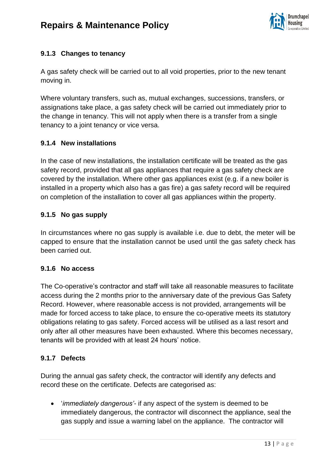

### **9.1.3 Changes to tenancy**

A gas safety check will be carried out to all void properties, prior to the new tenant moving in.

Where voluntary transfers, such as, mutual exchanges, successions, transfers, or assignations take place, a gas safety check will be carried out immediately prior to the change in tenancy. This will not apply when there is a transfer from a single tenancy to a joint tenancy or vice versa.

### **9.1.4 New installations**

In the case of new installations, the installation certificate will be treated as the gas safety record, provided that all gas appliances that require a gas safety check are covered by the installation. Where other gas appliances exist (e.g. if a new boiler is installed in a property which also has a gas fire) a gas safety record will be required on completion of the installation to cover all gas appliances within the property.

### **9.1.5 No gas supply**

In circumstances where no gas supply is available i.e. due to debt, the meter will be capped to ensure that the installation cannot be used until the gas safety check has been carried out.

#### **9.1.6 No access**

The Co-operative's contractor and staff will take all reasonable measures to facilitate access during the 2 months prior to the anniversary date of the previous Gas Safety Record. However, where reasonable access is not provided, arrangements will be made for forced access to take place, to ensure the co-operative meets its statutory obligations relating to gas safety. Forced access will be utilised as a last resort and only after all other measures have been exhausted. Where this becomes necessary, tenants will be provided with at least 24 hours' notice.

### **9.1.7 Defects**

During the annual gas safety check, the contractor will identify any defects and record these on the certificate. Defects are categorised as:

• '*immediately dangerous'-* if any aspect of the system is deemed to be immediately dangerous, the contractor will disconnect the appliance, seal the gas supply and issue a warning label on the appliance. The contractor will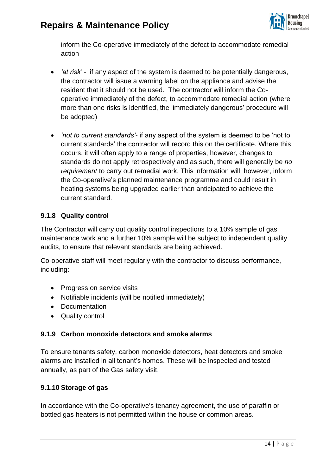

inform the Co-operative immediately of the defect to accommodate remedial action

- *'at risk'* if any aspect of the system is deemed to be potentially dangerous, the contractor will issue a warning label on the appliance and advise the resident that it should not be used. The contractor will inform the Cooperative immediately of the defect, to accommodate remedial action (where more than one risks is identified, the 'immediately dangerous' procedure will be adopted)
- *'not to current standards'* if any aspect of the system is deemed to be 'not to current standards' the contractor will record this on the certificate. Where this occurs, it will often apply to a range of properties, however, changes to standards do not apply retrospectively and as such, there will generally be *no requirement* to carry out remedial work. This information will, however, inform the Co-operative's planned maintenance programme and could result in heating systems being upgraded earlier than anticipated to achieve the current standard.

#### **9.1.8 Quality control**

The Contractor will carry out quality control inspections to a 10% sample of gas maintenance work and a further 10% sample will be subject to independent quality audits, to ensure that relevant standards are being achieved.

Co-operative staff will meet regularly with the contractor to discuss performance, including:

- Progress on service visits
- Notifiable incidents (will be notified immediately)
- Documentation
- Quality control

#### **9.1.9 Carbon monoxide detectors and smoke alarms**

To ensure tenants safety, carbon monoxide detectors, heat detectors and smoke alarms are installed in all tenant's homes. These will be inspected and tested annually, as part of the Gas safety visit.

#### **9.1.10 Storage of gas**

In accordance with the Co-operative's tenancy agreement, the use of paraffin or bottled gas heaters is not permitted within the house or common areas.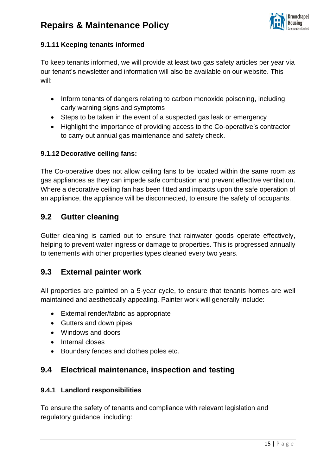

### **9.1.11 Keeping tenants informed**

To keep tenants informed, we will provide at least two gas safety articles per year via our tenant's newsletter and information will also be available on our website. This will:

- Inform tenants of dangers relating to carbon monoxide poisoning, including early warning signs and symptoms
- Steps to be taken in the event of a suspected gas leak or emergency
- Highlight the importance of providing access to the Co-operative's contractor to carry out annual gas maintenance and safety check.

### **9.1.12 Decorative ceiling fans:**

The Co-operative does not allow ceiling fans to be located within the same room as gas appliances as they can impede safe combustion and prevent effective ventilation. Where a decorative ceiling fan has been fitted and impacts upon the safe operation of an appliance, the appliance will be disconnected, to ensure the safety of occupants.

### **9.2 Gutter cleaning**

Gutter cleaning is carried out to ensure that rainwater goods operate effectively, helping to prevent water ingress or damage to properties. This is progressed annually to tenements with other properties types cleaned every two years.

### **9.3 External painter work**

All properties are painted on a 5-year cycle, to ensure that tenants homes are well maintained and aesthetically appealing. Painter work will generally include:

- External render/fabric as appropriate
- Gutters and down pipes
- Windows and doors
- Internal closes
- Boundary fences and clothes poles etc.

### **9.4 Electrical maintenance, inspection and testing**

### **9.4.1 Landlord responsibilities**

To ensure the safety of tenants and compliance with relevant legislation and regulatory guidance, including: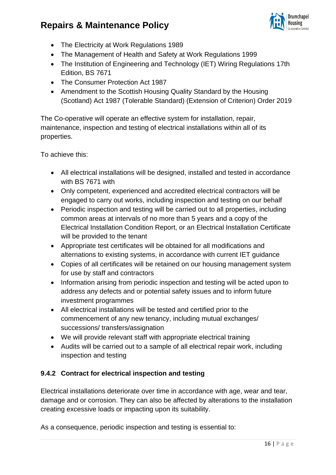

- The Electricity at Work Regulations 1989
- The Management of Health and Safety at Work Regulations 1999
- The Institution of Engineering and Technology (IET) Wiring Regulations 17th Edition, BS 7671
- The Consumer Protection Act 1987
- Amendment to the Scottish Housing Quality Standard by the Housing (Scotland) Act 1987 (Tolerable Standard) (Extension of Criterion) Order 2019

The Co-operative will operate an effective system for installation, repair, maintenance, inspection and testing of electrical installations within all of its properties.

To achieve this:

- All electrical installations will be designed, installed and tested in accordance with BS 7671 with
- Only competent, experienced and accredited electrical contractors will be engaged to carry out works, including inspection and testing on our behalf
- Periodic inspection and testing will be carried out to all properties, including common areas at intervals of no more than 5 years and a copy of the Electrical Installation Condition Report, or an Electrical Installation Certificate will be provided to the tenant
- Appropriate test certificates will be obtained for all modifications and alternations to existing systems, in accordance with current IET guidance
- Copies of all certificates will be retained on our housing management system for use by staff and contractors
- Information arising from periodic inspection and testing will be acted upon to address any defects and or potential safety issues and to inform future investment programmes
- All electrical installations will be tested and certified prior to the commencement of any new tenancy, including mutual exchanges/ successions/ transfers/assignation
- We will provide relevant staff with appropriate electrical training
- Audits will be carried out to a sample of all electrical repair work, including inspection and testing

### **9.4.2 Contract for electrical inspection and testing**

Electrical installations deteriorate over time in accordance with age, wear and tear, damage and or corrosion. They can also be affected by alterations to the installation creating excessive loads or impacting upon its suitability.

As a consequence, periodic inspection and testing is essential to: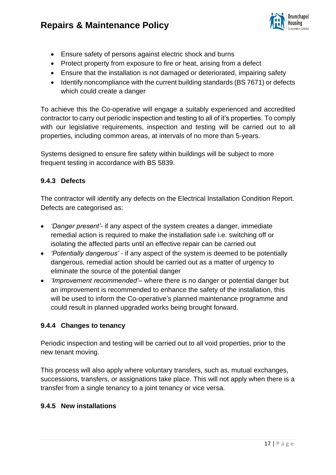

- Ensure safety of persons against electric shock and burns
- Protect property from exposure to fire or heat, arising from a defect
- Ensure that the installation is not damaged or deteriorated, impairing safety
- Identify noncompliance with the current building standards (BS 7671) or defects which could create a danger

To achieve this the Co-operative will engage a suitably experienced and accredited contractor to carry out periodic inspection and testing to all of it's properties. To comply with our legislative requirements, inspection and testing will be carried out to all properties, including common areas, at intervals of no more than 5-years.

Systems designed to ensure fire safety within buildings will be subject to more frequent testing in accordance with BS 5839.

### **9.4.3 Defects**

The contractor will identify any defects on the Electrical Installation Condition Report. Defects are categorised as:

- *'Danger present'-* if any aspect of the system creates a danger, immediate remedial action is required to make the installation safe i.e. switching off or isolating the affected parts until an effective repair can be carried out
- *'Potentially dangerous'* if any aspect of the system is deemed to be potentially dangerous, remedial action should be carried out as a matter of urgency to eliminate the source of the potential danger
- *'Improvement recommended'–* where there is no danger or potential danger but an improvement is recommended to enhance the safety of the installation, this will be used to inform the Co-operative's planned maintenance programme and could result in planned upgraded works being brought forward.

### **9.4.4 Changes to tenancy**

Periodic inspection and testing will be carried out to all void properties, prior to the new tenant moving.

This process will also apply where voluntary transfers, such as, mutual exchanges, successions, transfers, or assignations take place. This will not apply when there is a transfer from a single tenancy to a joint tenancy or vice versa.

#### **9.4.5 New installations**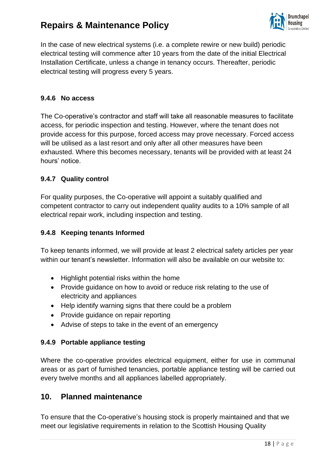

In the case of new electrical systems (i.e. a complete rewire or new build) periodic electrical testing will commence after 10 years from the date of the initial Electrical Installation Certificate, unless a change in tenancy occurs. Thereafter, periodic electrical testing will progress every 5 years.

### **9.4.6 No access**

The Co-operative's contractor and staff will take all reasonable measures to facilitate access, for periodic inspection and testing. However, where the tenant does not provide access for this purpose, forced access may prove necessary. Forced access will be utilised as a last resort and only after all other measures have been exhausted. Where this becomes necessary, tenants will be provided with at least 24 hours' notice.

### **9.4.7 Quality control**

For quality purposes, the Co-operative will appoint a suitably qualified and competent contractor to carry out independent quality audits to a 10% sample of all electrical repair work, including inspection and testing.

#### **9.4.8 Keeping tenants Informed**

To keep tenants informed, we will provide at least 2 electrical safety articles per year within our tenant's newsletter. Information will also be available on our website to:

- Highlight potential risks within the home
- Provide guidance on how to avoid or reduce risk relating to the use of electricity and appliances
- Help identify warning signs that there could be a problem
- Provide guidance on repair reporting
- Advise of steps to take in the event of an emergency

#### **9.4.9 Portable appliance testing**

Where the co-operative provides electrical equipment, either for use in communal areas or as part of furnished tenancies, portable appliance testing will be carried out every twelve months and all appliances labelled appropriately.

### **10. Planned maintenance**

To ensure that the Co-operative's housing stock is properly maintained and that we meet our legislative requirements in relation to the Scottish Housing Quality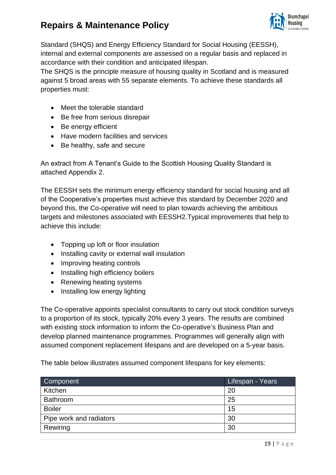

Standard (SHQS) and Energy Efficiency Standard for Social Housing (EESSH), internal and external components are assessed on a regular basis and replaced in accordance with their condition and anticipated lifespan.

The SHQS is the principle measure of housing quality in Scotland and is measured against 5 broad areas with 55 separate elements. To achieve these standards all properties must:

- Meet the tolerable standard
- Be free from serious disrepair
- Be energy efficient
- Have modern facilities and services
- Be healthy, safe and secure

An extract from A Tenant's Guide to the Scottish Housing Quality Standard is attached Appendix 2.

The EESSH sets the minimum energy efficiency standard for social housing and all of the Cooperative's properties must achieve this standard by December 2020 and beyond this, the Co-operative will need to plan towards achieving the ambitious targets and milestones associated with EESSH2.Typical improvements that help to achieve this include:

- Topping up loft or floor insulation
- Installing cavity or external wall insulation
- Improving heating controls
- Installing high efficiency boilers
- Renewing heating systems
- Installing low energy lighting

The Co-operative appoints specialist consultants to carry out stock condition surveys to a proportion of its stock, typically 20% every 3 years. The results are combined with existing stock information to inform the Co-operative's Business Plan and develop planned maintenance programmes. Programmes will generally align with assumed component replacement lifespans and are developed on a 5-year basis.

The table below illustrates assumed component lifespans for key elements:

| Component               | Lifespan - Years |
|-------------------------|------------------|
| Kitchen                 | 20               |
| Bathroom                | 25               |
| <b>Boiler</b>           | 15               |
| Pipe work and radiators | 30               |
| Rewiring                | 30               |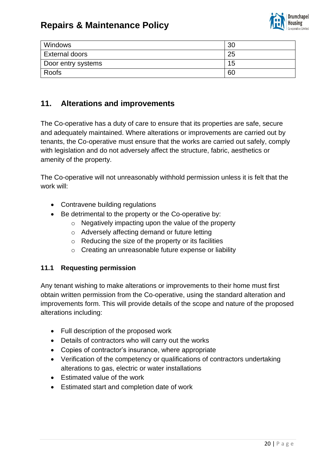

| Windows               | 30 |
|-----------------------|----|
| <b>External doors</b> | 25 |
| Door entry systems    | 15 |
| Roofs                 | 60 |

### **11. Alterations and improvements**

The Co-operative has a duty of care to ensure that its properties are safe, secure and adequately maintained. Where alterations or improvements are carried out by tenants, the Co-operative must ensure that the works are carried out safely, comply with legislation and do not adversely affect the structure, fabric, aesthetics or amenity of the property.

The Co-operative will not unreasonably withhold permission unless it is felt that the work will:

- Contravene building regulations
- Be detrimental to the property or the Co-operative by:
	- o Negatively impacting upon the value of the property
	- o Adversely affecting demand or future letting
	- $\circ$  Reducing the size of the property or its facilities
	- o Creating an unreasonable future expense or liability

#### **11.1 Requesting permission**

Any tenant wishing to make alterations or improvements to their home must first obtain written permission from the Co-operative, using the standard alteration and improvements form. This will provide details of the scope and nature of the proposed alterations including:

- Full description of the proposed work
- Details of contractors who will carry out the works
- Copies of contractor's insurance, where appropriate
- Verification of the competency or qualifications of contractors undertaking alterations to gas, electric or water installations
- Estimated value of the work
- Estimated start and completion date of work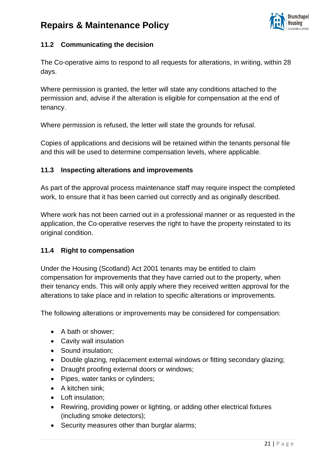

### **11.2 Communicating the decision**

The Co-operative aims to respond to all requests for alterations, in writing, within 28 days.

Where permission is granted, the letter will state any conditions attached to the permission and, advise if the alteration is eligible for compensation at the end of tenancy.

Where permission is refused, the letter will state the grounds for refusal.

Copies of applications and decisions will be retained within the tenants personal file and this will be used to determine compensation levels, where applicable.

### **11.3 Inspecting alterations and improvements**

As part of the approval process maintenance staff may require inspect the completed work, to ensure that it has been carried out correctly and as originally described.

Where work has not been carried out in a professional manner or as requested in the application, the Co-operative reserves the right to have the property reinstated to its original condition.

#### **11.4 Right to compensation**

Under the Housing (Scotland) Act 2001 tenants may be entitled to claim compensation for improvements that they have carried out to the property, when their tenancy ends. This will only apply where they received written approval for the alterations to take place and in relation to specific alterations or improvements.

The following alterations or improvements may be considered for compensation:

- A bath or shower;
- Cavity wall insulation
- Sound insulation;
- Double glazing, replacement external windows or fitting secondary glazing;
- Draught proofing external doors or windows;
- Pipes, water tanks or cylinders;
- A kitchen sink;
- Loft insulation;
- Rewiring, providing power or lighting, or adding other electrical fixtures (including smoke detectors);
- Security measures other than burglar alarms;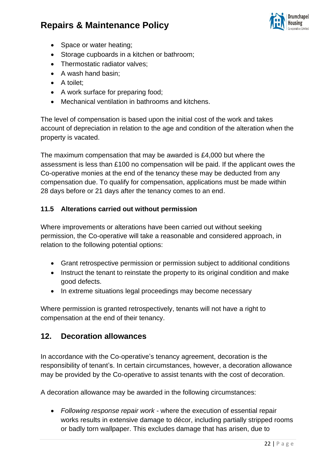

- Space or water heating;
- Storage cupboards in a kitchen or bathroom:
- Thermostatic radiator valves;
- A wash hand basin;
- A toilet;
- A work surface for preparing food;
- Mechanical ventilation in bathrooms and kitchens.

The level of compensation is based upon the initial cost of the work and takes account of depreciation in relation to the age and condition of the alteration when the property is vacated.

The maximum compensation that may be awarded is £4,000 but where the assessment is less than £100 no compensation will be paid. If the applicant owes the Co-operative monies at the end of the tenancy these may be deducted from any compensation due. To qualify for compensation, applications must be made within 28 days before or 21 days after the tenancy comes to an end.

### **11.5 Alterations carried out without permission**

Where improvements or alterations have been carried out without seeking permission, the Co-operative will take a reasonable and considered approach, in relation to the following potential options:

- Grant retrospective permission or permission subject to additional conditions
- Instruct the tenant to reinstate the property to its original condition and make good defects.
- In extreme situations legal proceedings may become necessary

Where permission is granted retrospectively, tenants will not have a right to compensation at the end of their tenancy.

### **12. Decoration allowances**

In accordance with the Co-operative's tenancy agreement, decoration is the responsibility of tenant's. In certain circumstances, however, a decoration allowance may be provided by the Co-operative to assist tenants with the cost of decoration.

A decoration allowance may be awarded in the following circumstances:

• *Following response repair work -* where the execution of essential repair works results in extensive damage to décor, including partially stripped rooms or badly torn wallpaper. This excludes damage that has arisen, due to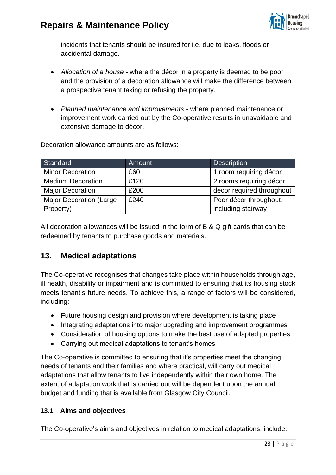

incidents that tenants should be insured for i.e. due to leaks, floods or accidental damage.

- *Allocation of a house -* where the décor in a property is deemed to be poor and the provision of a decoration allowance will make the difference between a prospective tenant taking or refusing the property.
- *Planned maintenance and improvements -* where planned maintenance or improvement work carried out by the Co-operative results in unavoidable and extensive damage to décor.

| Standard                        | Amount | <b>Description</b>        |
|---------------------------------|--------|---------------------------|
| <b>Minor Decoration</b>         | £60    | 1 room requiring décor    |
| <b>Medium Decoration</b>        | £120   | 2 rooms requiring décor   |
| <b>Major Decoration</b>         | £200   | decor required throughout |
| <b>Major Decoration (Large)</b> | £240   | Poor décor throughout,    |
| Property)                       |        | including stairway        |

Decoration allowance amounts are as follows:

All decoration allowances will be issued in the form of B & Q gift cards that can be redeemed by tenants to purchase goods and materials.

### **13. Medical adaptations**

The Co-operative recognises that changes take place within households through age, ill health, disability or impairment and is committed to ensuring that its housing stock meets tenant's future needs. To achieve this, a range of factors will be considered, including:

- Future housing design and provision where development is taking place
- Integrating adaptations into major upgrading and improvement programmes
- Consideration of housing options to make the best use of adapted properties
- Carrying out medical adaptations to tenant's homes

The Co-operative is committed to ensuring that it's properties meet the changing needs of tenants and their families and where practical, will carry out medical adaptations that allow tenants to live independently within their own home. The extent of adaptation work that is carried out will be dependent upon the annual budget and funding that is available from Glasgow City Council.

#### **13.1 Aims and objectives**

The Co-operative's aims and objectives in relation to medical adaptations, include: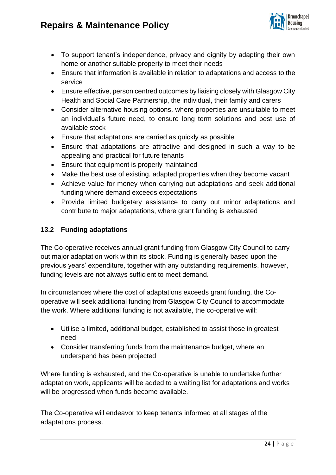

- To support tenant's independence, privacy and dignity by adapting their own home or another suitable property to meet their needs
- Ensure that information is available in relation to adaptations and access to the service
- Ensure effective, person centred outcomes by liaising closely with Glasgow City Health and Social Care Partnership, the individual, their family and carers
- Consider alternative housing options, where properties are unsuitable to meet an individual's future need, to ensure long term solutions and best use of available stock
- Ensure that adaptations are carried as quickly as possible
- Ensure that adaptations are attractive and designed in such a way to be appealing and practical for future tenants
- Ensure that equipment is properly maintained
- Make the best use of existing, adapted properties when they become vacant
- Achieve value for money when carrying out adaptations and seek additional funding where demand exceeds expectations
- Provide limited budgetary assistance to carry out minor adaptations and contribute to major adaptations, where grant funding is exhausted

### **13.2 Funding adaptations**

The Co-operative receives annual grant funding from Glasgow City Council to carry out major adaptation work within its stock. Funding is generally based upon the previous years' expenditure, together with any outstanding requirements, however, funding levels are not always sufficient to meet demand.

In circumstances where the cost of adaptations exceeds grant funding, the Cooperative will seek additional funding from Glasgow City Council to accommodate the work. Where additional funding is not available, the co-operative will:

- Utilise a limited, additional budget, established to assist those in greatest need
- Consider transferring funds from the maintenance budget, where an underspend has been projected

Where funding is exhausted, and the Co-operative is unable to undertake further adaptation work, applicants will be added to a waiting list for adaptations and works will be progressed when funds become available.

The Co-operative will endeavor to keep tenants informed at all stages of the adaptations process.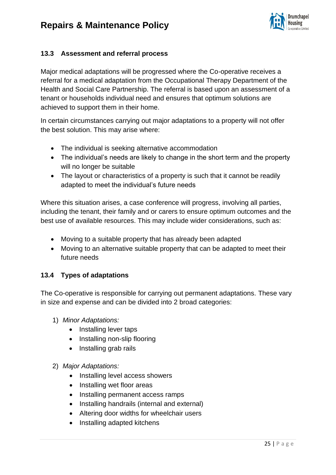

### **13.3 Assessment and referral process**

Major medical adaptations will be progressed where the Co-operative receives a referral for a medical adaptation from the Occupational Therapy Department of the Health and Social Care Partnership. The referral is based upon an assessment of a tenant or households individual need and ensures that optimum solutions are achieved to support them in their home.

In certain circumstances carrying out major adaptations to a property will not offer the best solution. This may arise where:

- The individual is seeking alternative accommodation
- The individual's needs are likely to change in the short term and the property will no longer be suitable
- The layout or characteristics of a property is such that it cannot be readily adapted to meet the individual's future needs

Where this situation arises, a case conference will progress, involving all parties, including the tenant, their family and or carers to ensure optimum outcomes and the best use of available resources. This may include wider considerations, such as:

- Moving to a suitable property that has already been adapted
- Moving to an alternative suitable property that can be adapted to meet their future needs

#### **13.4 Types of adaptations**

The Co-operative is responsible for carrying out permanent adaptations. These vary in size and expense and can be divided into 2 broad categories:

- 1) *Minor Adaptations:*
	- Installing lever taps
	- Installing non-slip flooring
	- Installing grab rails
- 2) *Major Adaptations:*
	- Installing level access showers
	- Installing wet floor areas
	- Installing permanent access ramps
	- Installing handrails (internal and external)
	- Altering door widths for wheelchair users
	- Installing adapted kitchens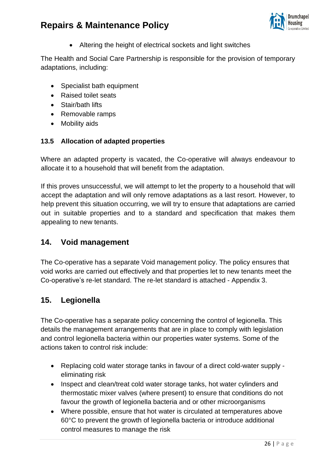

• Altering the height of electrical sockets and light switches

The Health and Social Care Partnership is responsible for the provision of temporary adaptations, including:

- Specialist bath equipment
- Raised toilet seats
- Stair/bath lifts
- Removable ramps
- Mobility aids

### **13.5 Allocation of adapted properties**

Where an adapted property is vacated, the Co-operative will always endeavour to allocate it to a household that will benefit from the adaptation.

If this proves unsuccessful, we will attempt to let the property to a household that will accept the adaptation and will only remove adaptations as a last resort. However, to help prevent this situation occurring, we will try to ensure that adaptations are carried out in suitable properties and to a standard and specification that makes them appealing to new tenants.

### **14. Void management**

The Co-operative has a separate Void management policy. The policy ensures that void works are carried out effectively and that properties let to new tenants meet the Co-operative's re-let standard. The re-let standard is attached - Appendix 3.

### **15. Legionella**

The Co-operative has a separate policy concerning the control of legionella. This details the management arrangements that are in place to comply with legislation and control legionella bacteria within our properties water systems. Some of the actions taken to control risk include:

- Replacing cold water storage tanks in favour of a direct cold-water supply eliminating risk
- Inspect and clean/treat cold water storage tanks, hot water cylinders and thermostatic mixer valves (where present) to ensure that conditions do not favour the growth of legionella bacteria and or other microorganisms
- Where possible, ensure that hot water is circulated at temperatures above 60°C to prevent the growth of legionella bacteria or introduce additional control measures to manage the risk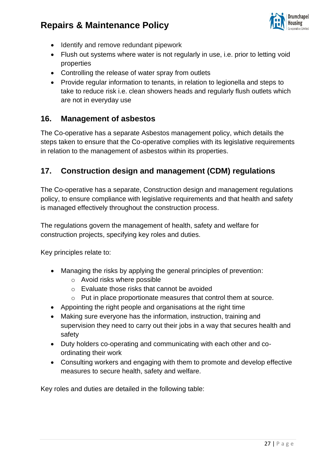

- Identify and remove redundant pipework
- Flush out systems where water is not regularly in use, i.e. prior to letting void properties
- Controlling the release of water spray from outlets
- Provide regular information to tenants, in relation to legionella and steps to take to reduce risk i.e. clean showers heads and regularly flush outlets which are not in everyday use

### **16. Management of asbestos**

The Co-operative has a separate Asbestos management policy, which details the steps taken to ensure that the Co-operative complies with its legislative requirements in relation to the management of asbestos within its properties.

### **17. Construction design and management (CDM) regulations**

The Co-operative has a separate, Construction design and management regulations policy, to ensure compliance with legislative requirements and that health and safety is managed effectively throughout the construction process.

The regulations govern the management of health, safety and welfare for construction projects, specifying key roles and duties.

Key principles relate to:

- Managing the risks by applying the general principles of prevention:
	- o Avoid risks where possible
	- o Evaluate those risks that cannot be avoided
	- o Put in place proportionate measures that control them at source.
- Appointing the right people and organisations at the right time
- Making sure everyone has the information, instruction, training and supervision they need to carry out their jobs in a way that secures health and safety
- Duty holders co-operating and communicating with each other and coordinating their work
- Consulting workers and engaging with them to promote and develop effective measures to secure health, safety and welfare.

Key roles and duties are detailed in the following table: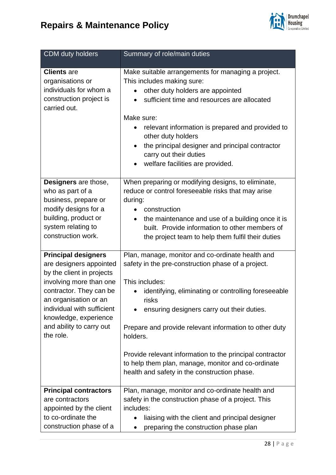



| CDM duty holders                                                                                                                                                                                                                                                  | Summary of role/main duties                                                                                                                                                                                                                                                                                                                                                                                                                                                    |
|-------------------------------------------------------------------------------------------------------------------------------------------------------------------------------------------------------------------------------------------------------------------|--------------------------------------------------------------------------------------------------------------------------------------------------------------------------------------------------------------------------------------------------------------------------------------------------------------------------------------------------------------------------------------------------------------------------------------------------------------------------------|
| <b>Clients</b> are<br>organisations or<br>individuals for whom a<br>construction project is<br>carried out.                                                                                                                                                       | Make suitable arrangements for managing a project.<br>This includes making sure:<br>other duty holders are appointed<br>sufficient time and resources are allocated<br>Make sure:<br>relevant information is prepared and provided to<br>other duty holders<br>the principal designer and principal contractor<br>$\bullet$<br>carry out their duties<br>welfare facilities are provided.                                                                                      |
| Designers are those,<br>who as part of a<br>business, prepare or<br>modify designs for a<br>building, product or<br>system relating to<br>construction work.                                                                                                      | When preparing or modifying designs, to eliminate,<br>reduce or control foreseeable risks that may arise<br>during:<br>construction<br>the maintenance and use of a building once it is<br>$\bullet$<br>built. Provide information to other members of<br>the project team to help them fulfil their duties                                                                                                                                                                    |
| <b>Principal designers</b><br>are designers appointed<br>by the client in projects<br>involving more than one<br>contractor. They can be<br>an organisation or an<br>individual with sufficient<br>knowledge, experience<br>and ability to carry out<br>the role. | Plan, manage, monitor and co-ordinate health and<br>safety in the pre-construction phase of a project.<br>This includes:<br>identifying, eliminating or controlling foreseeable<br>risks<br>ensuring designers carry out their duties.<br>Prepare and provide relevant information to other duty<br>holders.<br>Provide relevant information to the principal contractor<br>to help them plan, manage, monitor and co-ordinate<br>health and safety in the construction phase. |
| <b>Principal contractors</b><br>are contractors<br>appointed by the client<br>to co-ordinate the<br>construction phase of a                                                                                                                                       | Plan, manage, monitor and co-ordinate health and<br>safety in the construction phase of a project. This<br>includes:<br>liaising with the client and principal designer<br>preparing the construction phase plan                                                                                                                                                                                                                                                               |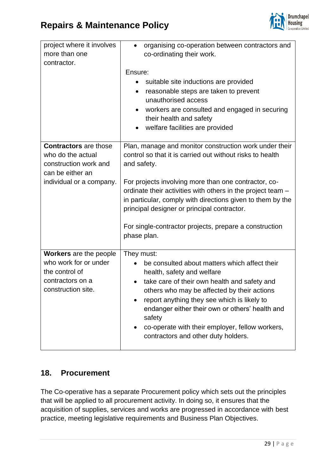

| project where it involves<br>more than one<br>contractor.                                                          | organising co-operation between contractors and<br>٠<br>co-ordinating their work.<br>Ensure:<br>suitable site inductions are provided<br>reasonable steps are taken to prevent<br>٠<br>unauthorised access                                                                                                                                                                                     |
|--------------------------------------------------------------------------------------------------------------------|------------------------------------------------------------------------------------------------------------------------------------------------------------------------------------------------------------------------------------------------------------------------------------------------------------------------------------------------------------------------------------------------|
|                                                                                                                    | workers are consulted and engaged in securing<br>$\bullet$<br>their health and safety<br>welfare facilities are provided<br>$\bullet$                                                                                                                                                                                                                                                          |
| <b>Contractors</b> are those<br>who do the actual<br>construction work and<br>can be either an                     | Plan, manage and monitor construction work under their<br>control so that it is carried out without risks to health<br>and safety.                                                                                                                                                                                                                                                             |
| individual or a company.                                                                                           | For projects involving more than one contractor, co-<br>ordinate their activities with others in the project team -<br>in particular, comply with directions given to them by the<br>principal designer or principal contractor.                                                                                                                                                               |
|                                                                                                                    | For single-contractor projects, prepare a construction<br>phase plan.                                                                                                                                                                                                                                                                                                                          |
| <b>Workers</b> are the people<br>who work for or under<br>the control of<br>contractors on a<br>construction site. | They must:<br>be consulted about matters which affect their<br>health, safety and welfare<br>take care of their own health and safety and<br>others who may be affected by their actions<br>report anything they see which is likely to<br>endanger either their own or others' health and<br>safety<br>co-operate with their employer, fellow workers,<br>contractors and other duty holders. |

### **18. Procurement**

The Co-operative has a separate Procurement policy which sets out the principles that will be applied to all procurement activity. In doing so, it ensures that the acquisition of supplies, services and works are progressed in accordance with best practice, meeting legislative requirements and Business Plan Objectives.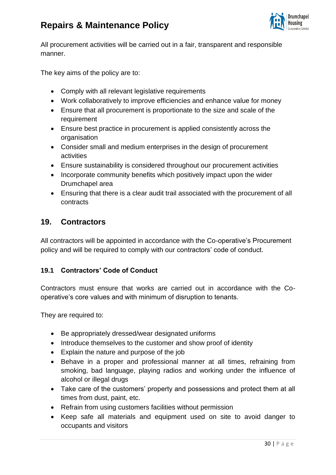

All procurement activities will be carried out in a fair, transparent and responsible manner.

The key aims of the policy are to:

- Comply with all relevant legislative requirements
- Work collaboratively to improve efficiencies and enhance value for money
- Ensure that all procurement is proportionate to the size and scale of the requirement
- Ensure best practice in procurement is applied consistently across the organisation
- Consider small and medium enterprises in the design of procurement activities
- Ensure sustainability is considered throughout our procurement activities
- Incorporate community benefits which positively impact upon the wider Drumchapel area
- Ensuring that there is a clear audit trail associated with the procurement of all contracts

### **19. Contractors**

All contractors will be appointed in accordance with the Co-operative's Procurement policy and will be required to comply with our contractors' code of conduct.

#### **19.1 Contractors' Code of Conduct**

Contractors must ensure that works are carried out in accordance with the Cooperative's core values and with minimum of disruption to tenants.

They are required to:

- Be appropriately dressed/wear designated uniforms
- Introduce themselves to the customer and show proof of identity
- Explain the nature and purpose of the job
- Behave in a proper and professional manner at all times, refraining from smoking, bad language, playing radios and working under the influence of alcohol or illegal drugs
- Take care of the customers' property and possessions and protect them at all times from dust, paint, etc.
- Refrain from using customers facilities without permission
- Keep safe all materials and equipment used on site to avoid danger to occupants and visitors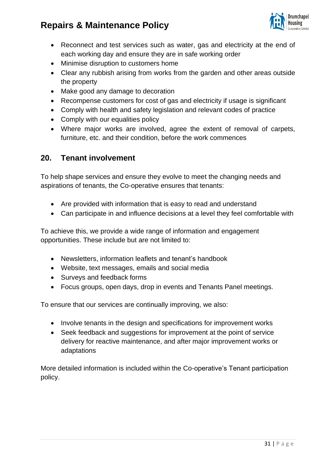

- Reconnect and test services such as water, gas and electricity at the end of each working day and ensure they are in safe working order
- Minimise disruption to customers home
- Clear any rubbish arising from works from the garden and other areas outside the property
- Make good any damage to decoration
- Recompense customers for cost of gas and electricity if usage is significant
- Comply with health and safety legislation and relevant codes of practice
- Comply with our equalities policy
- Where major works are involved, agree the extent of removal of carpets, furniture, etc. and their condition, before the work commences

### **20. Tenant involvement**

To help shape services and ensure they evolve to meet the changing needs and aspirations of tenants, the Co-operative ensures that tenants:

- Are provided with information that is easy to read and understand
- Can participate in and influence decisions at a level they feel comfortable with

To achieve this, we provide a wide range of information and engagement opportunities. These include but are not limited to:

- Newsletters, information leaflets and tenant's handbook
- Website, text messages, emails and social media
- Surveys and feedback forms
- Focus groups, open days, drop in events and Tenants Panel meetings.

To ensure that our services are continually improving, we also:

- Involve tenants in the design and specifications for improvement works
- Seek feedback and suggestions for improvement at the point of service delivery for reactive maintenance, and after major improvement works or adaptations

More detailed information is included within the Co-operative's Tenant participation policy.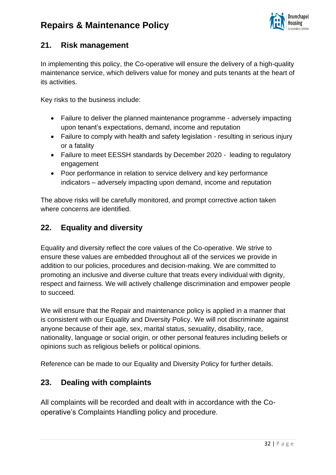

### **21. Risk management**

In implementing this policy, the Co-operative will ensure the delivery of a high-quality maintenance service, which delivers value for money and puts tenants at the heart of its activities.

Key risks to the business include:

- Failure to deliver the planned maintenance programme adversely impacting upon tenant's expectations, demand, income and reputation
- Failure to comply with health and safety legislation resulting in serious injury or a fatality
- Failure to meet EESSH standards by December 2020 leading to regulatory engagement
- Poor performance in relation to service delivery and key performance indicators – adversely impacting upon demand, income and reputation

The above risks will be carefully monitored, and prompt corrective action taken where concerns are identified.

### **22. Equality and diversity**

Equality and diversity reflect the core values of the Co-operative. We strive to ensure these values are embedded throughout all of the services we provide in addition to our policies, procedures and decision-making. We are committed to promoting an inclusive and diverse culture that treats every individual with dignity, respect and fairness. We will actively challenge discrimination and empower people to succeed.

We will ensure that the Repair and maintenance policy is applied in a manner that is consistent with our Equality and Diversity Policy. We will not discriminate against anyone because of their age, sex, marital status, sexuality, disability, race, nationality, language or social origin, or other personal features including beliefs or opinions such as religious beliefs or political opinions.

Reference can be made to our Equality and Diversity Policy for further details.

### **23. Dealing with complaints**

All complaints will be recorded and dealt with in accordance with the Cooperative's Complaints Handling policy and procedure.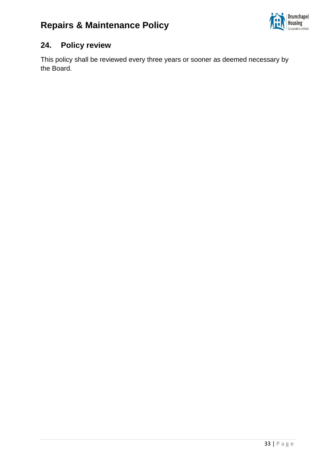

### **24. Policy review**

This policy shall be reviewed every three years or sooner as deemed necessary by the Board.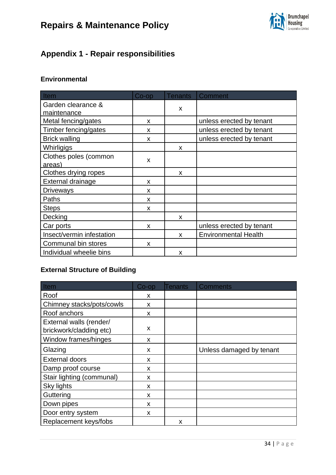

### **Appendix 1 - Repair responsibilities**

### **Environmental**

| Item                      | $Co$ -op | <b>Tenants</b> | <b>Comment</b>              |
|---------------------------|----------|----------------|-----------------------------|
| Garden clearance &        |          | X              |                             |
| maintenance               |          |                |                             |
| Metal fencing/gates       | X        |                | unless erected by tenant    |
| Timber fencing/gates      | x        |                | unless erected by tenant    |
| <b>Brick walling</b>      | X        |                | unless erected by tenant    |
| Whirligigs                |          | X              |                             |
| Clothes poles (common     | X        |                |                             |
| areas)                    |          |                |                             |
| Clothes drying ropes      |          | X              |                             |
| External drainage         | X        |                |                             |
| Driveways                 | X        |                |                             |
| Paths                     | X        |                |                             |
| <b>Steps</b>              | X        |                |                             |
| Decking                   |          | X              |                             |
| Car ports                 | X        |                | unless erected by tenant    |
| Insect/vermin infestation |          | X              | <b>Environmental Health</b> |
| Communal bin stores       | X        |                |                             |
| Individual wheelie bins   |          | X              |                             |

### **External Structure of Building**

| Item                                               | $Co$ -op | Tenants | <b>Comments</b>          |
|----------------------------------------------------|----------|---------|--------------------------|
| Roof                                               | X        |         |                          |
| Chimney stacks/pots/cowls                          | X        |         |                          |
| Roof anchors                                       | X        |         |                          |
| External walls (render/<br>brickwork/cladding etc) | X        |         |                          |
| Window frames/hinges                               | X        |         |                          |
| Glazing                                            | X        |         | Unless damaged by tenant |
| <b>External doors</b>                              | X        |         |                          |
| Damp proof course                                  | X        |         |                          |
| Stair lighting (communal)                          | X        |         |                          |
| <b>Sky lights</b>                                  | X        |         |                          |
| Guttering                                          | X        |         |                          |
| Down pipes                                         | X        |         |                          |
| Door entry system                                  | X        |         |                          |
| Replacement keys/fobs                              |          | X       |                          |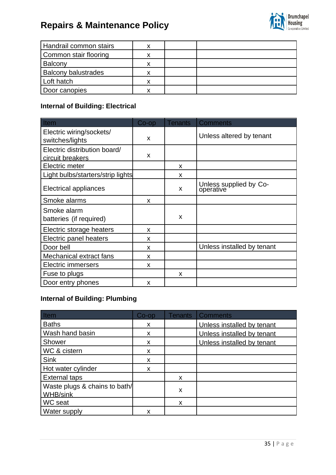

| Handrail common stairs     |   |  |
|----------------------------|---|--|
| Common stair flooring      |   |  |
| Balcony                    |   |  |
| <b>Balcony balustrades</b> |   |  |
| Loft hatch                 | v |  |
| Door canopies              | v |  |

### **Internal of Building: Electrical**

| Item                                             | Co-op | <b>Tenants</b> | <b>Comments</b>                     |
|--------------------------------------------------|-------|----------------|-------------------------------------|
| Electric wiring/sockets/<br>switches/lights      | X     |                | Unless altered by tenant            |
| Electric distribution board/<br>circuit breakers | X     |                |                                     |
| Electric meter                                   |       | X              |                                     |
| Light bulbs/starters/strip lights                |       | X              |                                     |
| Electrical appliances                            |       | X              | Unless supplied by Co-<br>operative |
| Smoke alarms                                     | X     |                |                                     |
| Smoke alarm<br>batteries (if required)           |       | X              |                                     |
| Electric storage heaters                         | X     |                |                                     |
| Electric panel heaters                           | X     |                |                                     |
| Door bell                                        | X     |                | Unless installed by tenant          |
| Mechanical extract fans                          | X     |                |                                     |
| <b>Electric immersers</b>                        | X     |                |                                     |
| Fuse to plugs                                    |       | X              |                                     |
| Door entry phones                                | X     |                |                                     |

### **Internal of Building: Plumbing**

| X                                     |               |                            |
|---------------------------------------|---------------|----------------------------|
| X                                     |               |                            |
| X                                     |               | Unless installed by tenant |
| X                                     |               |                            |
| X                                     |               |                            |
|                                       | X             |                            |
| $\mathsf{x}$                          |               |                            |
| <b>Internal of Building: Plumbing</b> |               | <b>Comments</b>            |
|                                       |               | Unless installed by tenant |
| X                                     |               | Unless installed by tenant |
| X                                     |               | Unless installed by tenant |
| $\boldsymbol{\mathsf{x}}$             |               |                            |
| X                                     |               |                            |
| X                                     |               |                            |
|                                       | X             |                            |
|                                       |               |                            |
|                                       | X             |                            |
|                                       | X             |                            |
|                                       | $Co$ -op<br>X | <b>Tenants</b>             |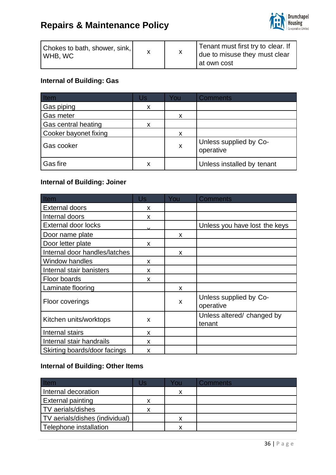

| Chokes to bath, shower, sink,<br>WHB, WC |  | Tenant must first try to clear. If<br>due to misuse they must clear |  |
|------------------------------------------|--|---------------------------------------------------------------------|--|
|                                          |  | at own cost                                                         |  |

### **Internal of Building: Gas**

| Item                  | Us | You | <b>Comments</b>                     |
|-----------------------|----|-----|-------------------------------------|
| Gas piping            | X  |     |                                     |
| Gas meter             |    | X   |                                     |
| Gas central heating   |    |     |                                     |
| Cooker bayonet fixing |    | X   |                                     |
| Gas cooker            |    | X   | Unless supplied by Co-<br>operative |
| Gas fire              | х  |     | Unless installed by tenant          |

### **Internal of Building: Joiner**

| Item                          | Us | You | <b>Comments</b>                      |
|-------------------------------|----|-----|--------------------------------------|
| <b>External doors</b>         | X  |     |                                      |
| Internal doors                | X  |     |                                      |
| <b>External door locks</b>    |    |     | Unless you have lost the keys        |
| Door name plate               |    | X   |                                      |
| Door letter plate             | X  |     |                                      |
| Internal door handles/latches |    | X   |                                      |
| Window handles                | X  |     |                                      |
| Internal stair banisters      | X  |     |                                      |
| Floor boards                  | X  |     |                                      |
| Laminate flooring             |    | X   |                                      |
| Floor coverings               |    | X   | Unless supplied by Co-<br>operative  |
| Kitchen units/worktops        | X  |     | Unless altered/ changed by<br>tenant |
| Internal stairs               | X  |     |                                      |
| Internal stair handrails      | X  |     |                                      |
| Skirting boards/door facings  | X  |     |                                      |

### **Internal of Building: Other Items**

| <b>Item</b>                    | Us | You | <b>Comments</b> |
|--------------------------------|----|-----|-----------------|
| Internal decoration            |    | x   |                 |
| <b>External painting</b>       | x  |     |                 |
| TV aerials/dishes              | x  |     |                 |
| TV aerials/dishes (individual) |    | X   |                 |
| Telephone installation         |    | х   |                 |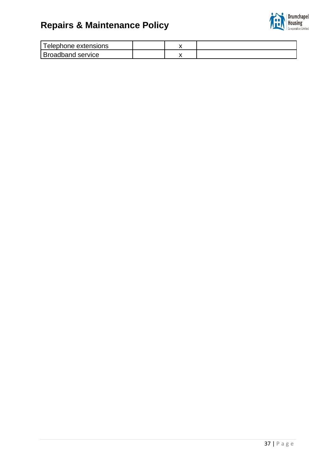

| Telephone extensions     |  |  |
|--------------------------|--|--|
| <b>Broadband service</b> |  |  |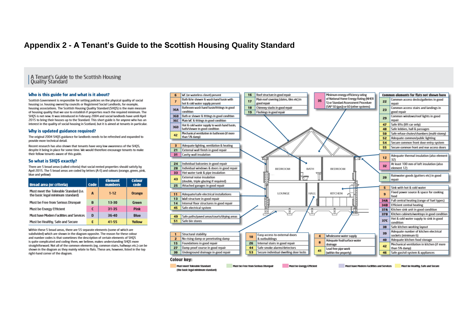### **Appendix 2 - A Tenant's Guide to the Scottish Housing Quality Standard**

| A Tenant's Guide to the Scottish Housing<br>| Quality Standard

#### Who is this guide for and what is it about?

Scottish Government is responsible for setting policies on the physical quality of social housing i.e. housing owned by councils or Registered Social Landlords, for example, housing associations. The Scottish Housing Quality Standard (SHOS) is the main measure of bousing quality that we use to establish if properties reach the required minimum. The SHOS is not new. It was introduced in February 2004 and social landlords have until April 2015 to bring their houses up to the Standard. This short guide is for anyone who has an interest in the quality of social housing in Scotland, but it is aimed at tenants in particular.

#### Why is updated guidance required?

The original 2004 SHOS guidance for landlords needs to be refreshed and expanded to provide more technical detail.

Recent research has also shown that tenants have very low awareness of the SHOS. despite it being in place for some time. We would therefore encourage tenants to make their fellow tenants aware of this guide.

#### So what is SHOS exactly?

There are 5 broad areas (called criteria) that social rented properties should satisfy by April 2015. The 5 broad areas are coded by letters (A-E) and colours (orange, green, pink. blue and yellow):

| <b>Broad area (or criteria)</b>                                             | Code | <b>Element</b><br><b>numbers</b> | <b>Colour</b><br>code |
|-----------------------------------------------------------------------------|------|----------------------------------|-----------------------|
| Must meet the Tolerable Standard (i.e.<br>the basic legal minimum standard) | A    | $1 - 12$                         | <b>Orange</b>         |
| Must be Free from Serious Disrepair                                         | B    | 13-30                            | Green                 |
| Must be Energy Efficient                                                    | С    | 31-35                            | <b>Pink</b>           |
| Must have Modern Facilities and Services                                    | D    | $36 - 40$                        | <b>Blue</b>           |
| Must be Healthy, Safe and Secure                                            | E    | 41-55                            | Yollow                |

Within these 5 broad areas, there are 55 separate elements (some of which are subdivided) which are shown in the diagram opposite. The reason for these colour and number codes is that sometimes the description of certain elements of SHQS is quite complicated and coding them, we believe, makes understanding SHOS more straightforward. Not all of the common elements (eg. common stairs, hallways etc.) can be shown in the diagram as they mainly relate to flats. These are, however, listed in the too right-hand corner of the diagram.



(the basic legal minimum standard)

Must have Modern Facilities and Services Must be Healthy, Safe and Secure